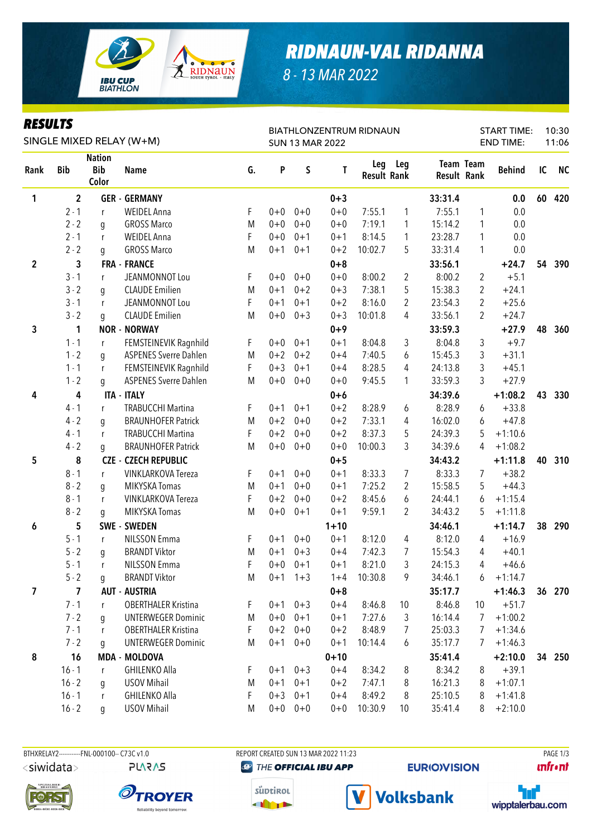

## *RIDNAUN-VAL RIDANNA*

*8 - 13 MAR 2022*

### *RESULTS*

| <b>KESULIS</b><br>SINGLE MIXED RELAY (W+M) |                |                                      |                              |    |         |             | <b>BIATHLONZENTRUM RIDNAUN</b> | 10:30<br><b>START TIME:</b><br><b>END TIME:</b> |                |                    |                |               |    |           |
|--------------------------------------------|----------------|--------------------------------------|------------------------------|----|---------|-------------|--------------------------------|-------------------------------------------------|----------------|--------------------|----------------|---------------|----|-----------|
|                                            |                |                                      |                              |    |         |             | <b>SUN 13 MAR 2022</b>         |                                                 |                |                    |                |               |    | 11:06     |
| Rank                                       | <b>Bib</b>     | <b>Nation</b><br><b>Bib</b><br>Color | <b>Name</b>                  | G. | P       | S           | T                              | Leg<br><b>Result Rank</b>                       | Leg            | <b>Result Rank</b> | Team Team      | <b>Behind</b> | IC | <b>NC</b> |
| 1                                          | $\overline{2}$ |                                      | <b>GER - GERMANY</b>         |    |         |             | $0 + 3$                        |                                                 |                | 33:31.4            |                | 0.0           | 60 | 420       |
|                                            | $2 - 1$        | r                                    | <b>WEIDEL Anna</b>           | F  | $0 + 0$ | $0 + 0$     | $0 + 0$                        | 7:55.1                                          | 1              | 7:55.1             | 1              | 0.0           |    |           |
|                                            | $2 - 2$        | g                                    | <b>GROSS Marco</b>           | M  | $0 + 0$ | $0 + 0$     | $0 + 0$                        | 7:19.1                                          | 1              | 15:14.2            | 1              | 0.0           |    |           |
|                                            | $2 - 1$        | r                                    | <b>WEIDEL Anna</b>           | F  | $0 + 0$ | $0 + 1$     | $0 + 1$                        | 8:14.5                                          | 1              | 23:28.7            | 1              | 0.0           |    |           |
|                                            | $2 - 2$        | g                                    | <b>GROSS Marco</b>           | M  | $0 + 1$ | $0 + 1$     | $0 + 2$                        | 10:02.7                                         | 5              | 33:31.4            | 1              | 0.0           |    |           |
| $\boldsymbol{2}$                           | 3              |                                      | <b>FRA - FRANCE</b>          |    |         |             | $0+8$                          |                                                 |                | 33:56.1            |                | $+24.7$       | 54 | 390       |
|                                            | $3 - 1$        | r                                    | JEANMONNOT Lou               | F  | $0+0$   | $0 + 0$     | $0 + 0$                        | 8:00.2                                          | $\overline{2}$ | 8:00.2             | $\overline{2}$ | $+5.1$        |    |           |
|                                            | $3 - 2$        | g                                    | <b>CLAUDE Emilien</b>        | M  | $0 + 1$ | $0 + 2$     | $0 + 3$                        | 7:38.1                                          | 5              | 15:38.3            | $\overline{c}$ | $+24.1$       |    |           |
|                                            | $3 - 1$        | r                                    | JEANMONNOT Lou               | F  | $0 + 1$ | $0 + 1$     | $0 + 2$                        | 8:16.0                                          | 2              | 23:54.3            | 2              | $+25.6$       |    |           |
|                                            | $3 - 2$        | q                                    | <b>CLAUDE Emilien</b>        | M  | $0 + 0$ | $0 + 3$     | $0 + 3$                        | 10:01.8                                         | 4              | 33:56.1            | 2              | $+24.7$       |    |           |
| 3                                          | 1              |                                      | <b>NOR - NORWAY</b>          |    |         |             | $0 + 9$                        |                                                 |                | 33:59.3            |                | $+27.9$       | 48 | 360       |
|                                            | $1 - 1$        | r                                    | FEMSTEINEVIK Ragnhild        | F  | $0 + 0$ | $0 + 1$     | $0 + 1$                        | 8:04.8                                          | 3              | 8:04.8             | 3              | $+9.7$        |    |           |
|                                            | $1 - 2$        | g                                    | <b>ASPENES Sverre Dahlen</b> | M  | $0 + 2$ | $0 + 2$     | $0 + 4$                        | 7:40.5                                          | 6              | 15:45.3            | 3              | $+31.1$       |    |           |
|                                            | $1 - 1$        | r                                    | FEMSTEINEVIK Ragnhild        | F  | $0 + 3$ | $0 + 1$     | $0 + 4$                        | 8:28.5                                          | 4              | 24:13.8            | 3              | $+45.1$       |    |           |
|                                            | $1 - 2$        | g                                    | <b>ASPENES Sverre Dahlen</b> | M  | $0 + 0$ | $0 + 0$     | $0 + 0$                        | 9:45.5                                          | 1              | 33:59.3            | 3              | $+27.9$       |    |           |
| 4                                          | 4              |                                      | <b>ITA - ITALY</b>           |    |         |             | $0+6$                          |                                                 |                | 34:39.6            |                | $+1:08.2$     | 43 | 330       |
|                                            | $4 - 1$        | $\mathsf{r}$                         | <b>TRABUCCHI Martina</b>     | F  | $0 + 1$ | $0 + 1$     | $0 + 2$                        | 8:28.9                                          | 6              | 8:28.9             | 6              | $+33.8$       |    |           |
|                                            | $4 - 2$        | g                                    | <b>BRAUNHOFER Patrick</b>    | M  | $0 + 2$ | $0 + 0$     | $0 + 2$                        | 7:33.1                                          | 4              | 16:02.0            | 6              | $+47.8$       |    |           |
|                                            | $4 - 1$        | r                                    | <b>TRABUCCHI Martina</b>     | F  | $0 + 2$ | $0 + 0$     | $0 + 2$                        | 8:37.3                                          | 5              | 24:39.3            | 5              | $+1:10.6$     |    |           |
|                                            | $4 - 2$        | q                                    | <b>BRAUNHOFER Patrick</b>    | M  | $0 + 0$ | $0 + 0$     | $0 + 0$                        | 10:00.3                                         | 3              | 34:39.6            | 4              | $+1:08.2$     |    |           |
| 5                                          | 8              |                                      | <b>CZE - CZECH REPUBLIC</b>  |    |         |             | $0 + 5$                        |                                                 |                | 34:43.2            |                | $+1:11.8$     | 40 | 310       |
|                                            | $8 - 1$        | r                                    | <b>VINKLARKOVA Tereza</b>    | F  | $0 + 1$ | $0 + 0$     | $0 + 1$                        | 8:33.3                                          | 7              | 8:33.3             | 7              | $+38.2$       |    |           |
|                                            | $8 - 2$        | g                                    | MIKYSKA Tomas                | M  | $0 + 1$ | $0 + 0$     | $0 + 1$                        | 7:25.2                                          | 2              | 15:58.5            | 5              | $+44.3$       |    |           |
|                                            | $8 - 1$        | r                                    | <b>VINKLARKOVA Tereza</b>    | F  | $0 + 2$ | $0 + 0$     | $0 + 2$                        | 8:45.6                                          | 6              | 24:44.1            | 6              | $+1:15.4$     |    |           |
|                                            | $8 - 2$        | g                                    | MIKYSKA Tomas                | M  | $0 + 0$ | $0 + 1$     | $0 + 1$                        | 9:59.1                                          | 2              | 34:43.2            | 5              | $+1:11.8$     |    |           |
| 6                                          | 5              |                                      | SWE - SWEDEN                 |    |         |             | $1 + 10$                       |                                                 |                | 34:46.1            |                | $+1:14.7$     | 38 | 290       |
|                                            | $5 - 1$        | r                                    | <b>NILSSON Emma</b>          | F  | $0 + 1$ | $0 + 0$     | $0 + 1$                        | 8:12.0                                          | 4              | 8:12.0             | 4              | $+16.9$       |    |           |
|                                            | $5 - 2$        | g                                    | <b>BRANDT Viktor</b>         | M  | $0 + 1$ | $0 + 3$     | $0 + 4$                        | 7:42.3                                          | 7              | 15:54.3            | 4              | $+40.1$       |    |           |
|                                            | $5 - 1$        |                                      | <b>NILSSON Emma</b>          | F  | $0 + 0$ | $0 + 1$     | $0 + 1$                        | 8:21.0                                          | 3              | 24:15.3            | 4              | $+46.6$       |    |           |
|                                            | $5 - 2$        | q                                    | <b>BRANDT Viktor</b>         | M  |         | $0+1$ 1+3   | $1+4$                          | 10:30.8                                         | 9              | 34:46.1            | 6              | $+1:14.7$     |    |           |
| 7                                          | $\overline{7}$ |                                      | <b>AUT - AUSTRIA</b>         |    |         |             | $0 + 8$                        |                                                 |                | 35:17.7            |                | $+1:46.3$     |    | 36 270    |
|                                            | $7 - 1$        | r                                    | <b>OBERTHALER Kristina</b>   | F. |         | $0+1$ $0+3$ | $0 + 4$                        | 8:46.8                                          | 10             | 8:46.8             | 10             | $+51.7$       |    |           |
|                                            | $7 - 2$        | g                                    | <b>UNTERWEGER Dominic</b>    | M  | $0+0$   | $0 + 1$     | $0 + 1$                        | 7:27.6                                          | 3              | 16:14.4            | 7              | $+1:00.2$     |    |           |
|                                            | $7 - 1$        | r                                    | <b>OBERTHALER Kristina</b>   | F. | $0 + 2$ | $0 + 0$     | $0 + 2$                        | 8:48.9                                          | 7              | 25:03.3            | 7              | $+1:34.6$     |    |           |
|                                            | $7 - 2$        | g                                    | <b>UNTERWEGER Dominic</b>    | M  | $0 + 1$ | $0 + 0$     | $0 + 1$                        | 10:14.4                                         | 6              | 35:17.7            | 7              | $+1:46.3$     |    |           |
| 8                                          | 16             |                                      | <b>MDA - MOLDOVA</b>         |    |         |             | $0 + 10$                       |                                                 |                | 35:41.4            |                | $+2:10.0$     | 34 | 250       |
|                                            | $16 - 1$       | $\mathsf{r}$                         | <b>GHILENKO Alla</b>         | F. | $0 + 1$ | $0 + 3$     | $0 + 4$                        | 8:34.2                                          | 8              | 8:34.2             | 8              | $+39.1$       |    |           |
|                                            | $16 - 2$       | g                                    | <b>USOV Mihail</b>           | M  | $0 + 1$ | $0 + 1$     | $0 + 2$                        | 7:47.1                                          | 8              | 16:21.3            | 8              | $+1:07.1$     |    |           |
|                                            | $16 - 1$       | r                                    | <b>GHILENKO Alla</b>         | F  | $0 + 3$ | $0 + 1$     | $0 + 4$                        | 8:49.2                                          | 8              | 25:10.5            | 8              | $+1:41.8$     |    |           |
|                                            | $16 - 2$       | g                                    | <b>USOV Mihail</b>           | M  |         | $0+0$ 0+0   | $0 + 0$                        | 10:30.9                                         | 10             | 35:41.4            | 8              | $+2:10.0$     |    |           |

BTHXRELAY2-----------FNL-000100-- C73C v1.0 REPORT CREATED SUN 13 MAR 2022 11:23 PAGE 1/3 <siwidata>

**PLARAS** 







**@ THE OFFICIAL IBU APP** 

**Volksbank** 

**EURIO)VISION** 



**unfront**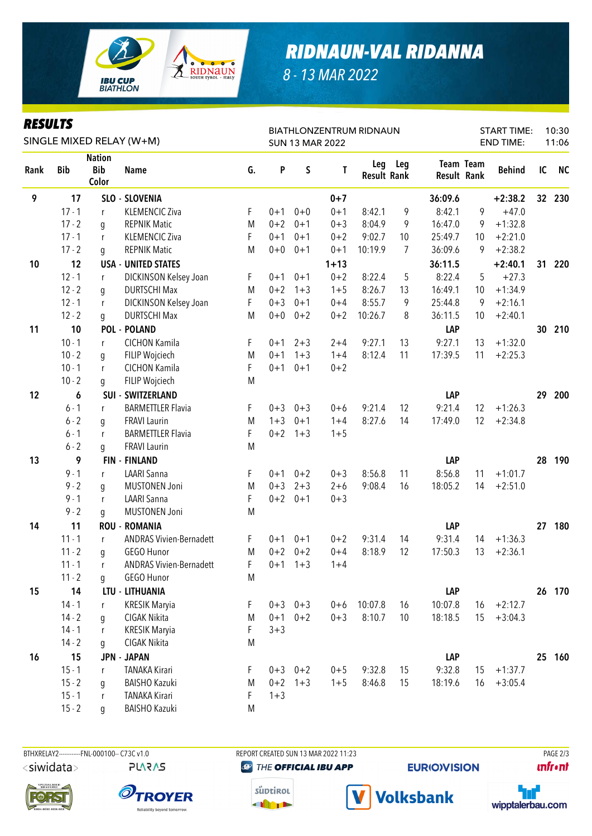

# *RIDNAUN-VAL RIDANNA*

*8 - 13 MAR 2022*

### *RESULTS*

| <b>KESULIS</b><br>SINGLE MIXED RELAY (W+M) |            |                                      |                                |    |         |             | <b>SUN 13 MAR 2022</b> | <b>BIATHLONZENTRUM RIDNAUN</b> |                | <b>START TIME:</b><br><b>END TIME:</b> | 10:30<br>11:06   |               |    |           |
|--------------------------------------------|------------|--------------------------------------|--------------------------------|----|---------|-------------|------------------------|--------------------------------|----------------|----------------------------------------|------------------|---------------|----|-----------|
| Rank                                       | <b>Bib</b> | <b>Nation</b><br><b>Bib</b><br>Color | <b>Name</b>                    | G. | P       | $\sf S$     | T                      | Leg<br><b>Result Rank</b>      | Leg            | <b>Result Rank</b>                     | <b>Team Team</b> | <b>Behind</b> | IC | <b>NC</b> |
| 9                                          | 17         |                                      | SLO - SLOVENIA                 |    |         |             | $0 + 7$                |                                |                | 36:09.6                                |                  | $+2:38.2$     | 32 | 230       |
|                                            | $17 - 1$   | r                                    | <b>KLEMENCIC Ziva</b>          | F  | $0 + 1$ | $0 + 0$     | $0 + 1$                | 8:42.1                         | 9              | 8:42.1                                 | 9                | $+47.0$       |    |           |
|                                            | $17 - 2$   | g                                    | <b>REPNIK Matic</b>            | M  | $0 + 2$ | $0 + 1$     | $0 + 3$                | 8:04.9                         | 9              | 16:47.0                                | 9                | $+1:32.8$     |    |           |
|                                            | $17 - 1$   | r                                    | <b>KLEMENCIC Ziva</b>          | F  | $0 + 1$ | $0 + 1$     | $0 + 2$                | 9:02.7                         | 10             | 25:49.7                                | 10               | $+2:21.0$     |    |           |
|                                            | $17 - 2$   | g                                    | <b>REPNIK Matic</b>            | M  | $0 + 0$ | $0 + 1$     | $0 + 1$                | 10:19.9                        | $\overline{7}$ | 36:09.6                                | 9                | $+2:38.2$     |    |           |
| 10                                         | 12         |                                      | <b>USA - UNITED STATES</b>     |    |         |             | $1 + 13$               |                                |                | 36:11.5                                |                  | $+2:40.1$     | 31 | 220       |
|                                            | $12 - 1$   | r                                    | DICKINSON Kelsey Joan          | F  | $0 + 1$ | $0 + 1$     | $0 + 2$                | 8:22.4                         | 5              | 8:22.4                                 | 5                | $+27.3$       |    |           |
|                                            | $12 - 2$   | g                                    | <b>DURTSCHI Max</b>            | M  | $0 + 2$ | $1 + 3$     | $1 + 5$                | 8:26.7                         | 13             | 16:49.1                                | 10               | $+1:34.9$     |    |           |
|                                            | $12 - 1$   | r                                    | DICKINSON Kelsey Joan          | F  | $0 + 3$ | $0 + 1$     | $0 + 4$                | 8:55.7                         | 9              | 25:44.8                                | 9                | $+2:16.1$     |    |           |
|                                            | $12 - 2$   | g                                    | <b>DURTSCHI Max</b>            | M  | $0+0$   | $0 + 2$     | $0 + 2$                | 10:26.7                        | 8              | 36:11.5                                | 10               | $+2:40.1$     |    |           |
| 11                                         | 10         |                                      | <b>POL - POLAND</b>            |    |         |             |                        |                                |                | LAP                                    |                  |               | 30 | 210       |
|                                            | $10 - 1$   | $\mathsf{r}$                         | CICHON Kamila                  | F  | $0 + 1$ | $2 + 3$     | $2 + 4$                | 9:27.1                         | 13             | 9:27.1                                 | 13               | $+1:32.0$     |    |           |
|                                            | $10 - 2$   | g                                    | FILIP Wojciech                 | M  | $0 + 1$ | $1 + 3$     | $1 + 4$                | 8:12.4                         | 11             | 17:39.5                                | 11               | $+2:25.3$     |    |           |
|                                            | $10 - 1$   | r                                    | CICHON Kamila                  | F  | $0 + 1$ | $0 + 1$     | $0 + 2$                |                                |                |                                        |                  |               |    |           |
|                                            | $10 - 2$   | g                                    | FILIP Wojciech                 | M  |         |             |                        |                                |                |                                        |                  |               |    |           |
| 12                                         | 6          |                                      | <b>SUI - SWITZERLAND</b>       |    |         |             |                        |                                |                | LAP                                    |                  |               | 29 | 200       |
|                                            | $6 - 1$    | $\mathsf{r}$                         | <b>BARMETTLER Flavia</b>       | F  | $0 + 3$ | $0 + 3$     | $0 + 6$                | 9:21.4                         | 12             | 9:21.4                                 | 12               | $+1:26.3$     |    |           |
|                                            | $6 - 2$    | g                                    | <b>FRAVI Laurin</b>            | M  | $1 + 3$ | $0 + 1$     | $1 + 4$                | 8:27.6                         | 14             | 17:49.0                                | 12               | $+2:34.8$     |    |           |
|                                            | $6 - 1$    | r                                    | <b>BARMETTLER Flavia</b>       | F  | $0 + 2$ | $1 + 3$     | $1 + 5$                |                                |                |                                        |                  |               |    |           |
|                                            | $6 - 2$    | g                                    | <b>FRAVI Laurin</b>            | M  |         |             |                        |                                |                |                                        |                  |               |    |           |
| 13                                         | 9          |                                      | <b>FIN - FINLAND</b>           |    |         |             |                        |                                |                | LAP                                    |                  |               | 28 | 190       |
|                                            | $9 - 1$    | r                                    | <b>LAARI Sanna</b>             | F  | $0 + 1$ | $0 + 2$     | $0 + 3$                | 8:56.8                         | 11             | 8:56.8                                 | 11               | $+1:01.7$     |    |           |
|                                            | $9 - 2$    | g                                    | <b>MUSTONEN Joni</b>           | M  | $0 + 3$ | $2 + 3$     | $2 + 6$                | 9:08.4                         | 16             | 18:05.2                                | 14               | $+2:51.0$     |    |           |
|                                            | $9 - 1$    | $\mathsf{r}$                         | <b>LAARI Sanna</b>             | F  | $0 + 2$ | $0 + 1$     | $0 + 3$                |                                |                |                                        |                  |               |    |           |
|                                            | $9 - 2$    | g                                    | <b>MUSTONEN Joni</b>           | M  |         |             |                        |                                |                |                                        |                  |               |    |           |
| 14                                         | 11         |                                      | <b>ROU - ROMANIA</b>           |    |         |             |                        |                                |                | LAP                                    |                  |               | 27 | 180       |
|                                            | $11 - 1$   | r                                    | <b>ANDRAS Vivien-Bernadett</b> | F. | $0 + 1$ | $0 + 1$     | $0 + 2$                | 9:31.4                         | 14             | 9:31.4                                 | 14               | $+1:36.3$     |    |           |
|                                            | $11 - 2$   | q                                    | GEGO Hunor                     | M  | $0 + 2$ | $0 + 2$     | $0 + 4$                | 8:18.9                         | 12             | 17:50.3                                | 13               | $+2:36.1$     |    |           |
|                                            | $11 - 1$   | r                                    | <b>ANDRAS Vivien-Bernadett</b> | F  | $0 + 1$ | $1 + 3$     | $1 + 4$                |                                |                |                                        |                  |               |    |           |
|                                            | $11 - 2$   | q                                    | GEGO Hunor                     | M  |         |             |                        |                                |                |                                        |                  |               |    |           |
| 15                                         | 14         |                                      | LTU - LITHUANIA                |    |         |             |                        |                                |                | LAP                                    |                  |               |    | 26 170    |
|                                            | $14 - 1$   | $\mathsf{r}$                         | <b>KRESIK Maryia</b>           | F. |         | $0+3$ $0+3$ | $0 + 6$                | 10:07.8                        | 16             | 10:07.8                                | 16               | $+2:12.7$     |    |           |
|                                            | $14 - 2$   | g                                    | CIGAK Nikita                   | M  | $0 + 1$ | $0 + 2$     | $0 + 3$                | 8:10.7                         | $10$           | 18:18.5                                | 15               | $+3:04.3$     |    |           |
|                                            | $14 - 1$   | $\mathsf{r}$                         | <b>KRESIK Maryia</b>           | F  | $3 + 3$ |             |                        |                                |                |                                        |                  |               |    |           |
|                                            | $14 - 2$   | g                                    | CIGAK Nikita                   | M  |         |             |                        |                                |                |                                        |                  |               |    |           |
| 16                                         | 15         |                                      | <b>JPN - JAPAN</b>             |    |         |             |                        |                                |                | LAP                                    |                  |               | 25 | 160       |
|                                            | $15 - 1$   | r                                    | <b>TANAKA Kirari</b>           | F. | $0 + 3$ | $0 + 2$     | $0 + 5$                | 9:32.8                         | 15             | 9:32.8                                 | 15               | $+1:37.7$     |    |           |
|                                            | $15 - 2$   | g                                    | <b>BAISHO Kazuki</b>           | M  | $0 + 2$ | $1 + 3$     | $1 + 5$                | 8:46.8                         | 15             | 18:19.6                                | 16               | $+3:05.4$     |    |           |
|                                            | $15 - 1$   | $\mathsf{r}$                         | <b>TANAKA Kirari</b>           | F  | $1 + 3$ |             |                        |                                |                |                                        |                  |               |    |           |
|                                            | $15 - 2$   | g                                    | <b>BAISHO Kazuki</b>           | M  |         |             |                        |                                |                |                                        |                  |               |    |           |



**PLARAS** 







**@ THE OFFICIAL IBU APP** 

**EURIO)VISION** 

**Volksbank** 

**unfront**